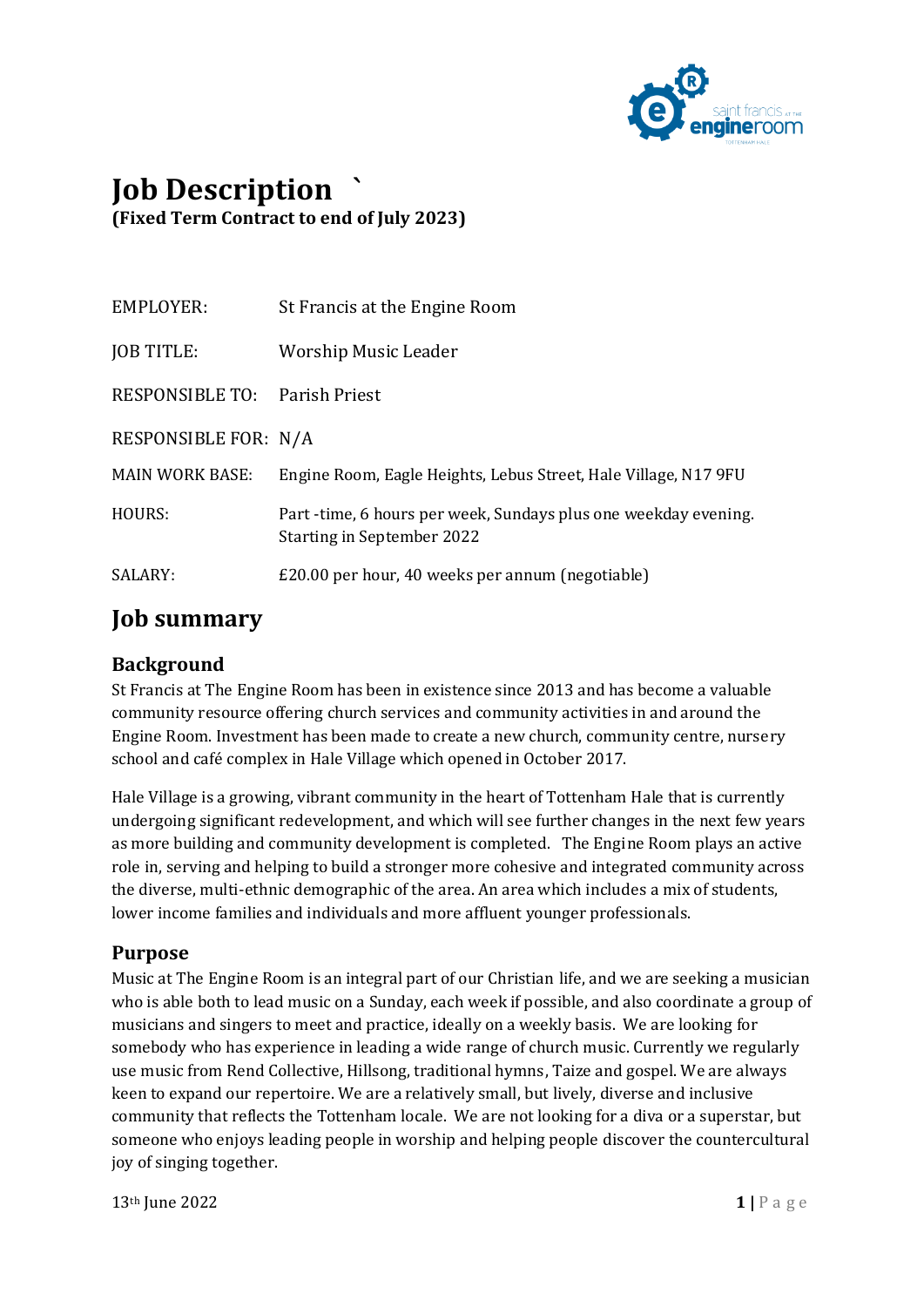

# **Job Description ` (Fixed Term Contract to end of July 2023)**

| EMPLOYER:                     | St Francis at the Engine Room                                                                       |
|-------------------------------|-----------------------------------------------------------------------------------------------------|
| <b>JOB TITLE:</b>             | <b>Worship Music Leader</b>                                                                         |
| RESPONSIBLE TO: Parish Priest |                                                                                                     |
| RESPONSIBLE FOR: N/A          |                                                                                                     |
| <b>MAIN WORK BASE:</b>        | Engine Room, Eagle Heights, Lebus Street, Hale Village, N17 9FU                                     |
| HOURS:                        | Part-time, 6 hours per week, Sundays plus one weekday evening.<br><b>Starting in September 2022</b> |
| SALARY:                       | £20.00 per hour, 40 weeks per annum (negotiable)                                                    |

### **Job summary**

### **Background**

St Francis at The Engine Room has been in existence since 2013 and has become a valuable community resource offering church services and community activities in and around the Engine Room. Investment has been made to create a new church, community centre, nursery school and café complex in Hale Village which opened in October 2017.

Hale Village is a growing, vibrant community in the heart of Tottenham Hale that is currently undergoing significant redevelopment, and which will see further changes in the next few years as more building and community development is completed. The Engine Room plays an active role in, serving and helping to build a stronger more cohesive and integrated community across the diverse, multi-ethnic demographic of the area. An area which includes a mix of students, lower income families and individuals and more affluent younger professionals.

### **Purpose**

Music at The Engine Room is an integral part of our Christian life, and we are seeking a musician who is able both to lead music on a Sunday, each week if possible, and also coordinate a group of musicians and singers to meet and practice, ideally on a weekly basis. We are looking for somebody who has experience in leading a wide range of church music. Currently we regularly use music from Rend Collective, Hillsong, traditional hymns, Taize and gospel. We are always keen to expand our repertoire. We are a relatively small, but lively, diverse and inclusive community that reflects the Tottenham locale. We are not looking for a diva or a superstar, but someone who enjoys leading people in worship and helping people discover the countercultural joy of singing together.

13th June 2022 **1 |** P a g e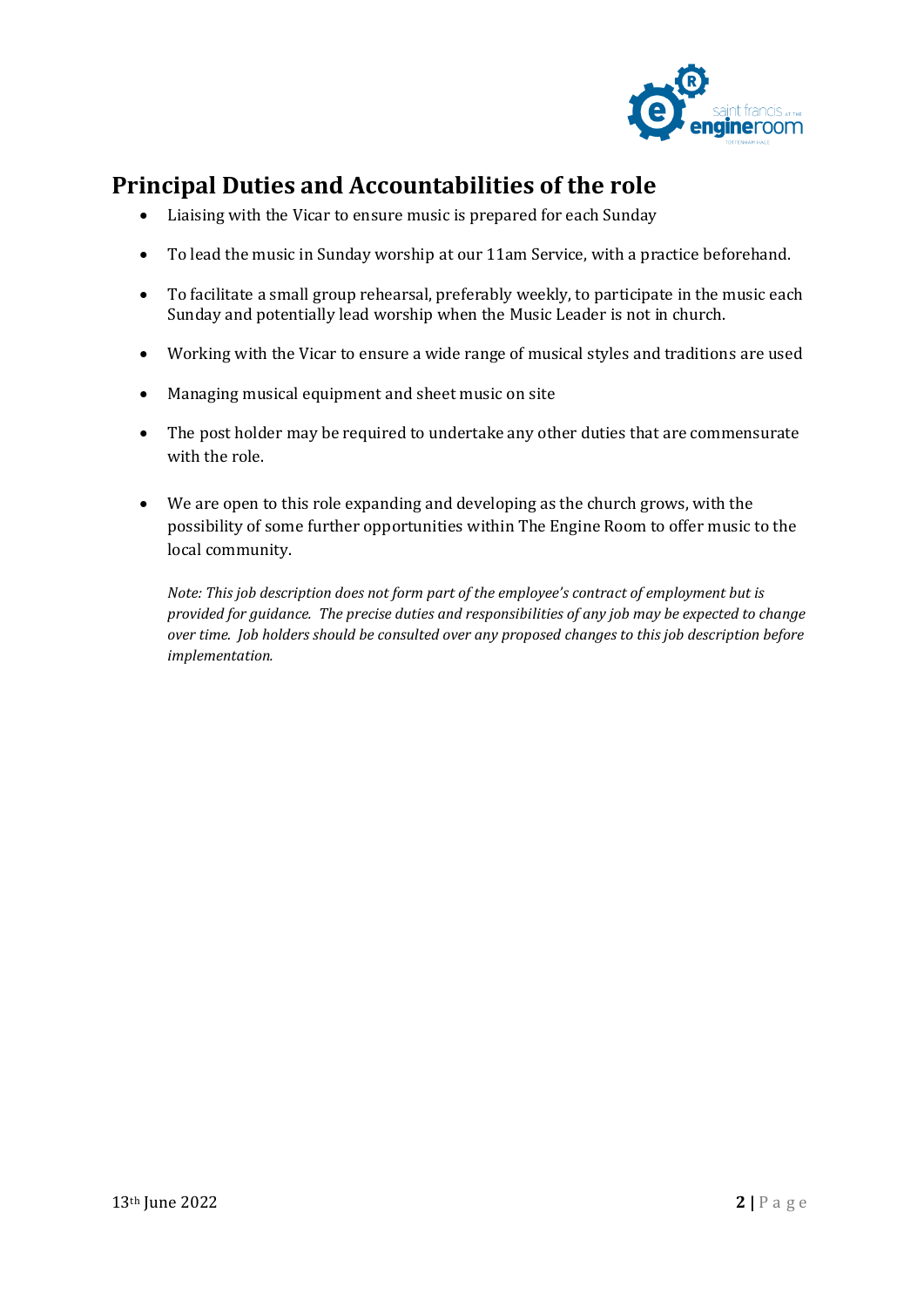

## **Principal Duties and Accountabilities of the role**

- Liaising with the Vicar to ensure music is prepared for each Sunday
- To lead the music in Sunday worship at our 11am Service, with a practice beforehand.
- To facilitate a small group rehearsal, preferably weekly, to participate in the music each Sunday and potentially lead worship when the Music Leader is not in church.
- Working with the Vicar to ensure a wide range of musical styles and traditions are used
- Managing musical equipment and sheet music on site
- The post holder may be required to undertake any other duties that are commensurate with the role.
- We are open to this role expanding and developing as the church grows, with the possibility of some further opportunities within The Engine Room to offer music to the local community.

*Note: This job description does not form part of the employee's contract of employment but is provided for guidance. The precise duties and responsibilities of any job may be expected to change over time. Job holders should be consulted over any proposed changes to this job description before implementation.*